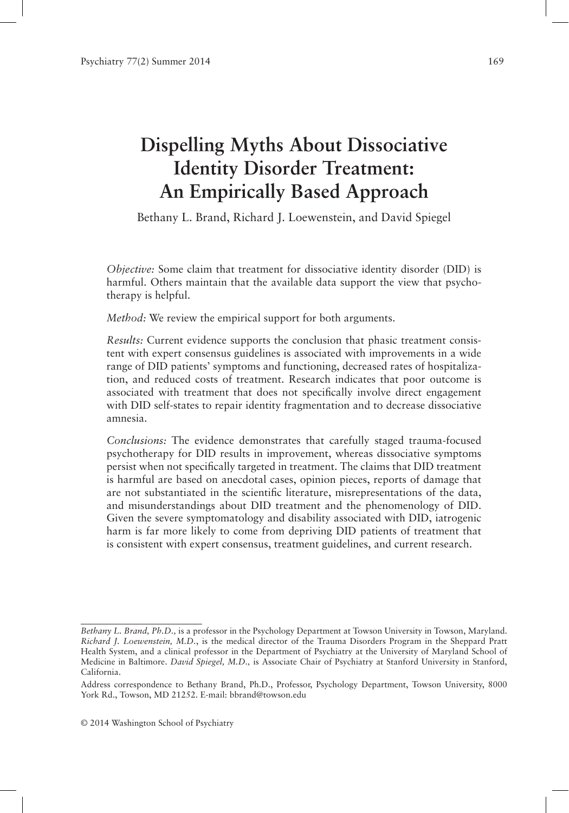# **Dispelling Myths About Dissociative Identity Disorder Treatment: An Empirically Based Approach**

Bethany L. Brand, Richard J. Loewenstein, and David Spiegel

*Objective:* Some claim that treatment for dissociative identity disorder (DID) is harmful. Others maintain that the available data support the view that psychotherapy is helpful.

*Method:* We review the empirical support for both arguments.

*Results:* Current evidence supports the conclusion that phasic treatment consistent with expert consensus guidelines is associated with improvements in a wide range of DID patients' symptoms and functioning, decreased rates of hospitalization, and reduced costs of treatment. Research indicates that poor outcome is associated with treatment that does not specifically involve direct engagement with DID self-states to repair identity fragmentation and to decrease dissociative amnesia.

*Conclusions:* The evidence demonstrates that carefully staged trauma-focused psychotherapy for DID results in improvement, whereas dissociative symptoms persist when not specifically targeted in treatment. The claims that DID treatment is harmful are based on anecdotal cases, opinion pieces, reports of damage that are not substantiated in the scientific literature, misrepresentations of the data, and misunderstandings about DID treatment and the phenomenology of DID. Given the severe symptomatology and disability associated with DID, iatrogenic harm is far more likely to come from depriving DID patients of treatment that is consistent with expert consensus, treatment guidelines, and current research.

*Bethany L. Brand, Ph.D.,* is a professor in the Psychology Department at Towson University in Towson, Maryland. *Richard J. Loewenstein, M.D.*, is the medical director of the Trauma Disorders Program in the Sheppard Pratt Health System, and a clinical professor in the Department of Psychiatry at the University of Maryland School of Medicine in Baltimore. *David Spiegel, M.D.,* is Associate Chair of Psychiatry at Stanford University in Stanford, California.

Address correspondence to Bethany Brand, Ph.D., Professor, Psychology Department, Towson University, 8000 York Rd., Towson, MD 21252. E-mail: bbrand@towson.edu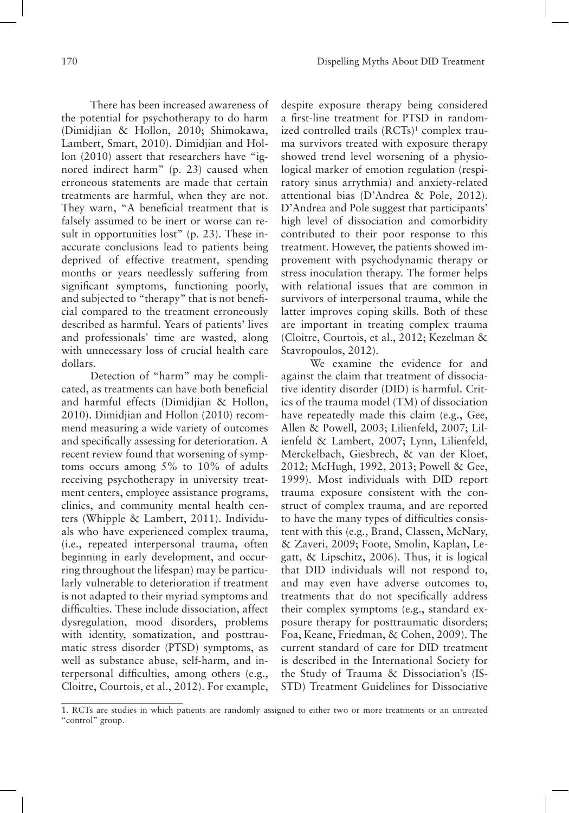There has been increased awareness of the potential for psychotherapy to do harm (Dimidjian & Hollon, 2010; Shimokawa, Lambert, Smart, 2010). Dimidjian and Hollon (2010) assert that researchers have "ignored indirect harm" (p. 23) caused when erroneous statements are made that certain treatments are harmful, when they are not. They warn, "A beneficial treatment that is falsely assumed to be inert or worse can result in opportunities lost" (p. 23). These inaccurate conclusions lead to patients being deprived of effective treatment, spending months or years needlessly suffering from significant symptoms, functioning poorly, and subjected to "therapy" that is not beneficial compared to the treatment erroneously described as harmful. Years of patients' lives and professionals' time are wasted, along with unnecessary loss of crucial health care dollars.

Detection of "harm" may be complicated, as treatments can have both beneficial and harmful effects (Dimidjian & Hollon, 2010). Dimidjian and Hollon (2010) recommend measuring a wide variety of outcomes and specifically assessing for deterioration. A recent review found that worsening of symptoms occurs among 5% to 10% of adults receiving psychotherapy in university treatment centers, employee assistance programs, clinics, and community mental health centers (Whipple & Lambert, 2011). Individuals who have experienced complex trauma, (i.e., repeated interpersonal trauma, often beginning in early development, and occurring throughout the lifespan) may be particularly vulnerable to deterioration if treatment is not adapted to their myriad symptoms and difficulties. These include dissociation, affect dysregulation, mood disorders, problems with identity, somatization, and posttraumatic stress disorder (PTSD) symptoms, as well as substance abuse, self-harm, and interpersonal difficulties, among others (e.g., Cloitre, Courtois, et al., 2012). For example, despite exposure therapy being considered a first-line treatment for PTSD in randomized controlled trails (RCTs)<sup>1</sup> complex trauma survivors treated with exposure therapy showed trend level worsening of a physiological marker of emotion regulation (respiratory sinus arrythmia) and anxiety-related attentional bias (D'Andrea & Pole, 2012). D'Andrea and Pole suggest that participants' high level of dissociation and comorbidity contributed to their poor response to this treatment. However, the patients showed improvement with psychodynamic therapy or stress inoculation therapy. The former helps with relational issues that are common in survivors of interpersonal trauma, while the latter improves coping skills. Both of these are important in treating complex trauma (Cloitre, Courtois, et al., 2012; Kezelman & Stavropoulos, 2012).

We examine the evidence for and against the claim that treatment of dissociative identity disorder (DID) is harmful. Critics of the trauma model (TM) of dissociation have repeatedly made this claim (e.g., Gee, Allen & Powell, 2003; Lilienfeld, 2007; Lilienfeld & Lambert, 2007; Lynn, Lilienfeld, Merckelbach, Giesbrech, & van der Kloet, 2012; McHugh, 1992, 2013; Powell & Gee, 1999). Most individuals with DID report trauma exposure consistent with the construct of complex trauma, and are reported to have the many types of difficulties consistent with this (e.g., Brand, Classen, McNary, & Zaveri, 2009; Foote, Smolin, Kaplan, Legatt, & Lipschitz, 2006). Thus, it is logical that DID individuals will not respond to, and may even have adverse outcomes to, treatments that do not specifically address their complex symptoms (e.g., standard exposure therapy for posttraumatic disorders; Foa, Keane, Friedman, & Cohen, 2009). The current standard of care for DID treatment is described in the International Society for the Study of Trauma & Dissociation's (IS-STD) Treatment Guidelines for Dissociative

<sup>1.</sup> RCTs are studies in which patients are randomly assigned to either two or more treatments or an untreated "control" group.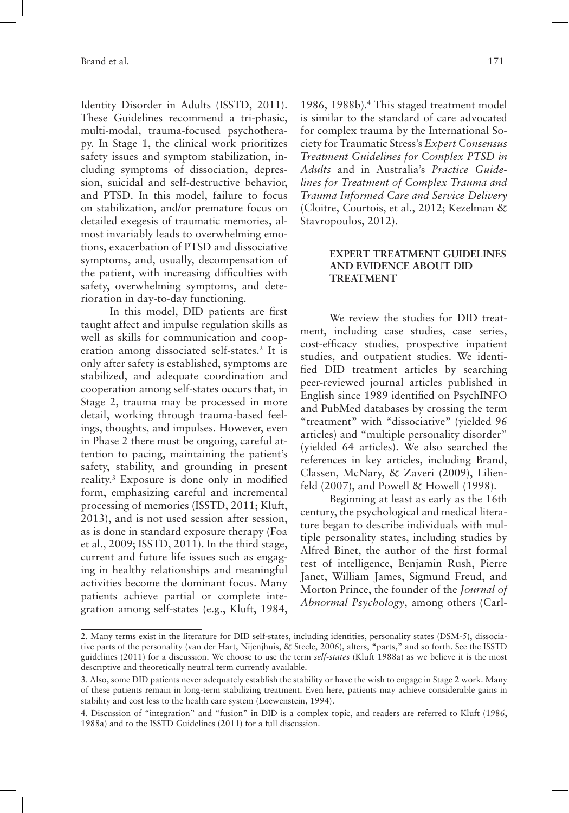Identity Disorder in Adults (ISSTD, 2011). These Guidelines recommend a tri-phasic, multi-modal, trauma-focused psychotherapy. In Stage 1, the clinical work prioritizes safety issues and symptom stabilization, including symptoms of dissociation, depression, suicidal and self-destructive behavior, and PTSD. In this model, failure to focus on stabilization, and/or premature focus on detailed exegesis of traumatic memories, almost invariably leads to overwhelming emotions, exacerbation of PTSD and dissociative symptoms, and, usually, decompensation of the patient, with increasing difficulties with safety, overwhelming symptoms, and deterioration in day-to-day functioning.

In this model, DID patients are first taught affect and impulse regulation skills as well as skills for communication and cooperation among dissociated self-states.<sup>2</sup> It is only after safety is established, symptoms are stabilized, and adequate coordination and cooperation among self-states occurs that, in Stage 2, trauma may be processed in more detail, working through trauma-based feelings, thoughts, and impulses. However, even in Phase 2 there must be ongoing, careful attention to pacing, maintaining the patient's safety, stability, and grounding in present reality.3 Exposure is done only in modified form, emphasizing careful and incremental processing of memories (ISSTD, 2011; Kluft, 2013), and is not used session after session, as is done in standard exposure therapy (Foa et al., 2009; ISSTD, 2011). In the third stage, current and future life issues such as engaging in healthy relationships and meaningful activities become the dominant focus. Many patients achieve partial or complete integration among self-states (e.g., Kluft, 1984,

1986, 1988b).4 This staged treatment model is similar to the standard of care advocated for complex trauma by the International Society for Traumatic Stress's *Expert Consensus Treatment Guidelines for Complex PTSD in Adults* and in Australia's *Practice Guidelines for Treatment of Complex Trauma and Trauma Informed Care and Service Delivery* (Cloitre, Courtois, et al., 2012; Kezelman & Stavropoulos, 2012).

## **EXPERT TREATMENT GUIDELINES AND EVIDENCE ABOUT DID TREATMENT**

We review the studies for DID treatment, including case studies, case series, cost-efficacy studies, prospective inpatient studies, and outpatient studies. We identified DID treatment articles by searching peer-reviewed journal articles published in English since 1989 identified on PsychINFO and PubMed databases by crossing the term "treatment" with "dissociative" (yielded 96 articles) and "multiple personality disorder" (yielded 64 articles). We also searched the references in key articles, including Brand, Classen, McNary, & Zaveri (2009), Lilienfeld (2007), and Powell & Howell (1998).

Beginning at least as early as the 16th century, the psychological and medical literature began to describe individuals with multiple personality states, including studies by Alfred Binet, the author of the first formal test of intelligence, Benjamin Rush, Pierre Janet, William James, Sigmund Freud, and Morton Prince, the founder of the *Journal of Abnormal Psychology*, among others (Carl-

<sup>2.</sup> Many terms exist in the literature for DID self-states, including identities, personality states (DSM-5), dissociative parts of the personality (van der Hart, Nijenjhuis, & Steele, 2006), alters, "parts," and so forth. See the ISSTD guidelines (2011) for a discussion. We choose to use the term *self-states* (Kluft 1988a) as we believe it is the most descriptive and theoretically neutral term currently available.

<sup>3.</sup> Also, some DID patients never adequately establish the stability or have the wish to engage in Stage 2 work. Many of these patients remain in long-term stabilizing treatment. Even here, patients may achieve considerable gains in stability and cost less to the health care system (Loewenstein, 1994).

<sup>4.</sup> Discussion of "integration" and "fusion" in DID is a complex topic, and readers are referred to Kluft (1986, 1988a) and to the ISSTD Guidelines (2011) for a full discussion.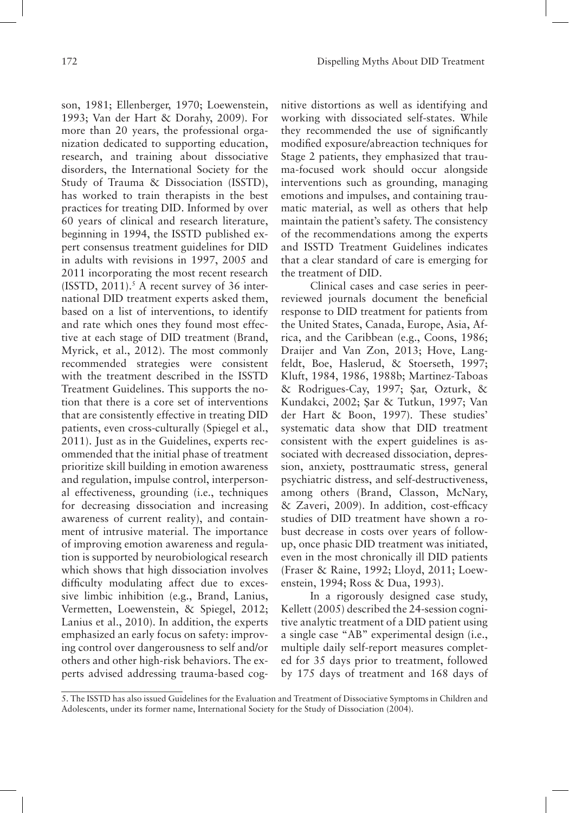son, 1981; Ellenberger, 1970; Loewenstein, 1993; Van der Hart & Dorahy, 2009). For more than 20 years, the professional organization dedicated to supporting education, research, and training about dissociative disorders, the International Society for the Study of Trauma & Dissociation (ISSTD), has worked to train therapists in the best practices for treating DID. Informed by over 60 years of clinical and research literature, beginning in 1994, the ISSTD published expert consensus treatment guidelines for DID in adults with revisions in 1997, 2005 and 2011 incorporating the most recent research  $(ISSTD, 2011).<sup>5</sup>$  A recent survey of 36 international DID treatment experts asked them, based on a list of interventions, to identify and rate which ones they found most effective at each stage of DID treatment (Brand, Myrick, et al., 2012). The most commonly recommended strategies were consistent with the treatment described in the ISSTD Treatment Guidelines. This supports the notion that there is a core set of interventions that are consistently effective in treating DID patients, even cross-culturally (Spiegel et al., 2011). Just as in the Guidelines, experts recommended that the initial phase of treatment prioritize skill building in emotion awareness and regulation, impulse control, interpersonal effectiveness, grounding (i.e., techniques for decreasing dissociation and increasing awareness of current reality), and containment of intrusive material. The importance of improving emotion awareness and regulation is supported by neurobiological research which shows that high dissociation involves difficulty modulating affect due to excessive limbic inhibition (e.g., Brand, Lanius, Vermetten, Loewenstein, & Spiegel, 2012; Lanius et al., 2010). In addition, the experts emphasized an early focus on safety: improving control over dangerousness to self and/or others and other high-risk behaviors. The experts advised addressing trauma-based cognitive distortions as well as identifying and working with dissociated self-states. While they recommended the use of significantly modified exposure/abreaction techniques for Stage 2 patients, they emphasized that trauma-focused work should occur alongside interventions such as grounding, managing emotions and impulses, and containing traumatic material, as well as others that help maintain the patient's safety. The consistency of the recommendations among the experts and ISSTD Treatment Guidelines indicates that a clear standard of care is emerging for the treatment of DID.

Clinical cases and case series in peerreviewed journals document the beneficial response to DID treatment for patients from the United States, Canada, Europe, Asia, Africa, and the Caribbean (e.g., Coons, 1986; Draijer and Van Zon, 2013; Hove, Langfeldt, Boe, Haslerud, & Stoerseth, 1997; Kluft, 1984, 1986, 1988b; Martinez-Taboas & Rodrigues-Cay, 1997; Şar, Ozturk, & Kundakci, 2002; Şar & Tutkun, 1997; Van der Hart & Boon, 1997). These studies' systematic data show that DID treatment consistent with the expert guidelines is associated with decreased dissociation, depression, anxiety, posttraumatic stress, general psychiatric distress, and self-destructiveness, among others (Brand, Classon, McNary, & Zaveri, 2009). In addition, cost-efficacy studies of DID treatment have shown a robust decrease in costs over years of followup, once phasic DID treatment was initiated, even in the most chronically ill DID patients (Fraser & Raine, 1992; Lloyd, 2011; Loewenstein, 1994; Ross & Dua, 1993).

In a rigorously designed case study, Kellett (2005) described the 24-session cognitive analytic treatment of a DID patient using a single case "AB" experimental design (i.e., multiple daily self-report measures completed for 35 days prior to treatment, followed by 175 days of treatment and 168 days of

<sup>5.</sup> The ISSTD has also issued Guidelines for the Evaluation and Treatment of Dissociative Symptoms in Children and Adolescents, under its former name, International Society for the Study of Dissociation (2004).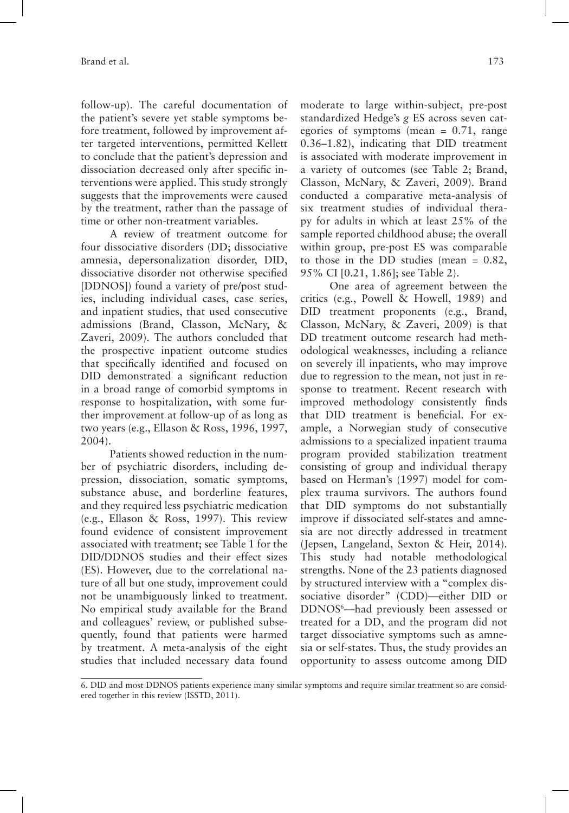follow-up). The careful documentation of the patient's severe yet stable symptoms before treatment, followed by improvement after targeted interventions, permitted Kellett to conclude that the patient's depression and dissociation decreased only after specific interventions were applied. This study strongly suggests that the improvements were caused by the treatment, rather than the passage of time or other non-treatment variables.

A review of treatment outcome for four dissociative disorders (DD; dissociative amnesia, depersonalization disorder, DID, dissociative disorder not otherwise specified [DDNOS]) found a variety of pre/post studies, including individual cases, case series, and inpatient studies, that used consecutive admissions (Brand, Classon, McNary, & Zaveri, 2009). The authors concluded that the prospective inpatient outcome studies that specifically identified and focused on DID demonstrated a significant reduction in a broad range of comorbid symptoms in response to hospitalization, with some further improvement at follow-up of as long as two years (e.g., Ellason & Ross, 1996, 1997, 2004).

Patients showed reduction in the number of psychiatric disorders, including depression, dissociation, somatic symptoms, substance abuse, and borderline features, and they required less psychiatric medication (e.g., Ellason & Ross, 1997). This review found evidence of consistent improvement associated with treatment; see Table 1 for the DID/DDNOS studies and their effect sizes (ES). However, due to the correlational nature of all but one study, improvement could not be unambiguously linked to treatment. No empirical study available for the Brand and colleagues' review, or published subsequently, found that patients were harmed by treatment. A meta-analysis of the eight studies that included necessary data found

moderate to large within-subject, pre-post standardized Hedge's *g* ES across seven categories of symptoms (mean  $= 0.71$ , range 0.36–1.82), indicating that DID treatment is associated with moderate improvement in a variety of outcomes (see Table 2; Brand, Classon, McNary, & Zaveri, 2009). Brand conducted a comparative meta-analysis of six treatment studies of individual therapy for adults in which at least 25% of the sample reported childhood abuse; the overall within group, pre-post ES was comparable to those in the DD studies (mean  $= 0.82$ , 95% CI [0.21, 1.86]; see Table 2).

One area of agreement between the critics (e.g., Powell & Howell, 1989) and DID treatment proponents (e.g., Brand, Classon, McNary, & Zaveri, 2009) is that DD treatment outcome research had methodological weaknesses, including a reliance on severely ill inpatients, who may improve due to regression to the mean, not just in response to treatment. Recent research with improved methodology consistently finds that DID treatment is beneficial. For example, a Norwegian study of consecutive admissions to a specialized inpatient trauma program provided stabilization treatment consisting of group and individual therapy based on Herman's (1997) model for complex trauma survivors. The authors found that DID symptoms do not substantially improve if dissociated self-states and amnesia are not directly addressed in treatment (Jepsen, Langeland, Sexton & Heir, 2014). This study had notable methodological strengths. None of the 23 patients diagnosed by structured interview with a "complex dissociative disorder" (CDD)—either DID or DDNOS6 —had previously been assessed or treated for a DD, and the program did not target dissociative symptoms such as amnesia or self-states. Thus, the study provides an opportunity to assess outcome among DID

<sup>6.</sup> DID and most DDNOS patients experience many similar symptoms and require similar treatment so are considered together in this review (ISSTD, 2011).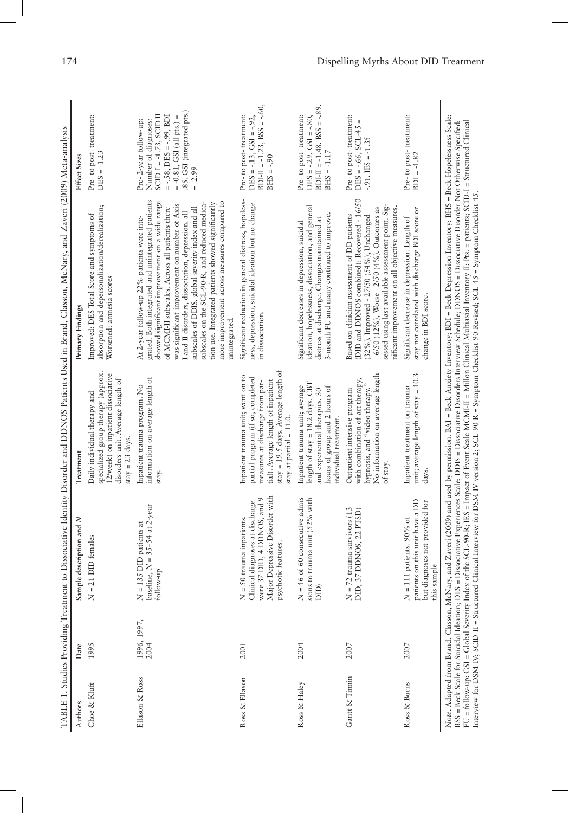|                |                     |                                                                                                                                                           |                                                                                                                                                                                                                      | TABLE 1. Studies Providing Treatment to Dissociative Identity Disorder and DDNOS Patients Used in Brand, Classon, McNary, and Zaveri (2009) Meta-analysis                                                                                                                                                                                                                                                                                                                                                                                                                                                                                                                                                                               |                                                                                                                                                                                     |
|----------------|---------------------|-----------------------------------------------------------------------------------------------------------------------------------------------------------|----------------------------------------------------------------------------------------------------------------------------------------------------------------------------------------------------------------------|-----------------------------------------------------------------------------------------------------------------------------------------------------------------------------------------------------------------------------------------------------------------------------------------------------------------------------------------------------------------------------------------------------------------------------------------------------------------------------------------------------------------------------------------------------------------------------------------------------------------------------------------------------------------------------------------------------------------------------------------|-------------------------------------------------------------------------------------------------------------------------------------------------------------------------------------|
| Authors        | Date                | description and N<br>Sample                                                                                                                               | Treatment                                                                                                                                                                                                            | Primary Findings                                                                                                                                                                                                                                                                                                                                                                                                                                                                                                                                                                                                                                                                                                                        | Effect Sizes                                                                                                                                                                        |
| Choe & Kluft   | 1995                | DID females<br>$N = 21$                                                                                                                                   | specialized group therapy (approx.<br>12/week) on inpatient dissociative<br>disorders unit. Average length of<br>Daily individual therapy and<br>stay $=$ 23 days.                                                   | absorption and depersonalization/derealization;<br>Improved: DES Total Score and symptoms of<br>Worsened: amnesia scores                                                                                                                                                                                                                                                                                                                                                                                                                                                                                                                                                                                                                | Pre- to post-treatment:<br>$DES = -1.23$                                                                                                                                            |
| Ellason & Ross | 1996, 1997,<br>2004 | baseline, $N = 35-54$ at 2-year<br>$N = 135$ DID patients at<br>follow-up                                                                                 | information on average length of<br>Inpatient trauma program. No<br>stay.                                                                                                                                            | grated. Both integrated and unintegrated patients<br>showed significant improvement on a wide range<br>more improvement across measures compared to<br>tion use. Integrated patients showed significantly<br>subscales on the SCL-90-R, and reduced medica-<br>was significant improvement on number of Axis<br>of MCMI-II subscales. Across all patients there<br>subscales of DDIS, global severity index and all<br>I and II disorders, dissociation, depression, all<br>At 2-year follow-up 22% patients were inte-<br>unintegrated.                                                                                                                                                                                                | .85, GSI (integrated pts.)<br>$SCDI = -1.73, SCDI$<br>$= -.58$ , DES $= -.99$ , BDI<br>$= -0.81$ , GSI (all pts.) $=$<br>Pre-2-year follow-up:<br>Number of diagnoses:<br>$= -2.99$ |
| Ross & Ellason | 2001                | Major Depressive Disorder with<br>were 37 DID, 4 DDNOS, and 9<br>Clinical diagnoses at discharge<br>trauma inpatients.<br>psychotic features.<br>$N = 50$ | stay = 19.5 days. Average length of<br>Inpatient trauma unit; went on to<br>partial program (if so, completed<br>tial). Average length of inpatient<br>measures at discharge from par-<br>stay at partial $= 11.0$ . | Significant reduction in general distress, hopeless-<br>ness, depression, suicidal ideation but no change<br>in dissociation.                                                                                                                                                                                                                                                                                                                                                                                                                                                                                                                                                                                                           | $BDI - II = -1.23$ , $BSS = -.60$ ,<br>Pre-to post-treatment:<br>$DES = -.13$ , $GSI = -.92$ ,<br>$06:-5H8$                                                                         |
| Ross & Haley   | 2004                | of 60 consecutive admis-<br>sions to trauma unit (52% with<br>$N = 46$<br>$DID$ )                                                                         | ength of stay = $18.2$ days. CBT<br>Inpatient trauma unit; average<br>hours of group and 2 hours of<br>and experiential therapies. 30<br>individual treatment.                                                       | ideation, hopelessness, dissociation, and general<br>3-month FU and many continued to improve.<br>distress at discharge. Changes maintained at<br>Significant decreases in depression, suicidal                                                                                                                                                                                                                                                                                                                                                                                                                                                                                                                                         | $BDI-II = -1.48$ , $BSS = -.89$ ,<br>Pre- to post-treatment:<br>$DES = -.29$ , $GSI = -.80$ ,<br>$BHS = -1.17$                                                                      |
| Gantt & Tinnin | 2007                | trauma survivors (13<br>7 DDNOS, 22 PTSD)<br>$N = 72$<br>DID, 3:                                                                                          | No information on average length<br>with combination of art therapy,<br>hypnosis, and "video therapy."<br>Outpatient intensive program<br>of stay.                                                                   | (DID and DDNOS combined): Recovered - 16/50<br>sessed using last available assessment point. Sig-<br>- 6/50 (12%), Worse - 2/50 (4%). Outcomes as-<br>nificant improvement on all objective measures.<br>(32%), Improved - 27/50 (54%), Unchanged<br>Based on clinician assessment of DD patients                                                                                                                                                                                                                                                                                                                                                                                                                                       | Pre- to post-treatment:<br>$\, \parallel$<br>$DES = -.66, SCL-45$<br>$-.91$ , IES = $-1.35$                                                                                         |
| Ross & Burns   | 2007                | patients on this unit have a DD<br>but diagnoses not provided for<br>$N=111$ patients. $90\,\%$ of<br>this sample                                         | unit; average length of stay = 10.3<br>Inpatient treatment on trauma<br>days.                                                                                                                                        | stay not correlated with discharge BDI score or<br>Significant decrease in depression. Length of<br>change in BDI score.                                                                                                                                                                                                                                                                                                                                                                                                                                                                                                                                                                                                                | Pre- to post-treatment:<br>$BDI = -1.82$                                                                                                                                            |
|                |                     |                                                                                                                                                           |                                                                                                                                                                                                                      | Note. Adapted from Brand, Classon, McNary, and Zaveri (2009) and used by permission. BAI = Beck Anxiery Inventory; BDI = Beck Depression Inventory; BHS = Beck Hopelessness Scale;<br>BSS = Beck Scale for Suicidal Ideation; DES = Dissociative Experiences Scale; DDIS = Dissociative Disorders Interview Schedule; DDNOS = Dissociative Disorder Not Otherwise Specified;<br>FU = follow-up; GSI = Global Severity Index of the SCL-90-R; IES = Impact of Event Scale MCMLII = Millon Clinical Multiaxial Inventory II; Pts. = patients; SCID-I = Structured Clinical<br>Interview for DSM-IV; SCID-II = Structured Clinical Interview for DSM-IV version 2; SCL-90-R = Symptom Checklist-90-Revised; SCL-45 = Symptom Checklist-45. |                                                                                                                                                                                     |

 $\overline{\phantom{a}}$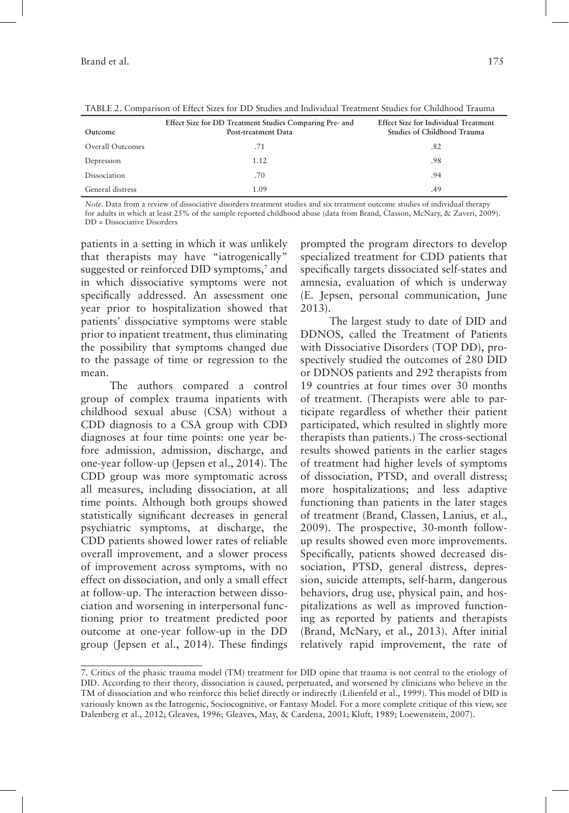| Outcome                 | Effect Size for DD Treatment Studies Comparing Pre- and<br>Post-treatment Data | <b>Effect Size for Individual Treatment</b><br><b>Studies of Childhood Trauma</b> |
|-------------------------|--------------------------------------------------------------------------------|-----------------------------------------------------------------------------------|
| <b>Overall Outcomes</b> | .71                                                                            | .82                                                                               |
| Depression              | 1.12                                                                           | .98                                                                               |
| Dissociation            | .70                                                                            | .94                                                                               |
| General distress        | 1.09                                                                           | .49                                                                               |

TABLE 2. Comparison of Effect Sizes for DD Studies and Individual Treatment Studies for Childhood Trauma

*Note.* Data from a review of dissociative disorders treatment studies and six treatment outcome studies of individual therapy for adults in which at least 25% of the sample reported childhood abuse (data from Brand, Classon, McNary, & Zaveri, 2009).

DD = Dissociative Disorders

patients in a setting in which it was unlikely that therapists may have "iatrogenically" suggested or reinforced DID symptoms,<sup>7</sup> and in which dissociative symptoms were not specifically addressed. An assessment one year prior to hospitalization showed that patients' dissociative symptoms were stable prior to inpatient treatment, thus eliminating the possibility that symptoms changed due to the passage of time or regression to the mean.

The authors compared a control group of complex trauma inpatients with childhood sexual abuse (CSA) without a CDD diagnosis to a CSA group with CDD diagnoses at four time points: one year before admission, admission, discharge, and one-year follow-up (Jepsen et al., 2014). The CDD group was more symptomatic across all measures, including dissociation, at all time points. Although both groups showed statistically significant decreases in general psychiatric symptoms, at discharge, the CDD patients showed lower rates of reliable overall improvement, and a slower process of improvement across symptoms, with no effect on dissociation, and only a small effect at follow-up. The interaction between dissociation and worsening in interpersonal functioning prior to treatment predicted poor outcome at one-year follow-up in the DD group (Jepsen et al., 2014). These findings prompted the program directors to develop specialized treatment for CDD patients that specifically targets dissociated self-states and amnesia, evaluation of which is underway (E. Jepsen, personal communication, June 2013).

The largest study to date of DID and DDNOS, called the Treatment of Patients with Dissociative Disorders (TOP DD), prospectively studied the outcomes of 280 DID or DDNOS patients and 292 therapists from 19 countries at four times over 30 months of treatment. (Therapists were able to participate regardless of whether their patient participated, which resulted in slightly more therapists than patients.) The cross-sectional results showed patients in the earlier stages of treatment had higher levels of symptoms of dissociation, PTSD, and overall distress; more hospitalizations; and less adaptive functioning than patients in the later stages of treatment (Brand, Classen, Lanius, et al., 2009). The prospective, 30-month followup results showed even more improvements. Specifically, patients showed decreased dissociation, PTSD, general distress, depression, suicide attempts, self-harm, dangerous behaviors, drug use, physical pain, and hospitalizations as well as improved functioning as reported by patients and therapists (Brand, McNary, et al., 2013). After initial relatively rapid improvement, the rate of

<sup>7.</sup> Critics of the phasic trauma model (TM) treatment for DID opine that trauma is not central to the etiology of DID. According to their theory, dissociation is caused, perpetuated, and worsened by clinicians who believe in the TM of dissociation and who reinforce this belief directly or indirectly (Lilienfeld et al., 1999). This model of DID is variously known as the Iatrogenic, Sociocognitive, or Fantasy Model. For a more complete critique of this view, see Dalenberg et al., 2012; Gleaves, 1996; Gleaves, May, & Cardena, 2001; Kluft, 1989; Loewenstein, 2007).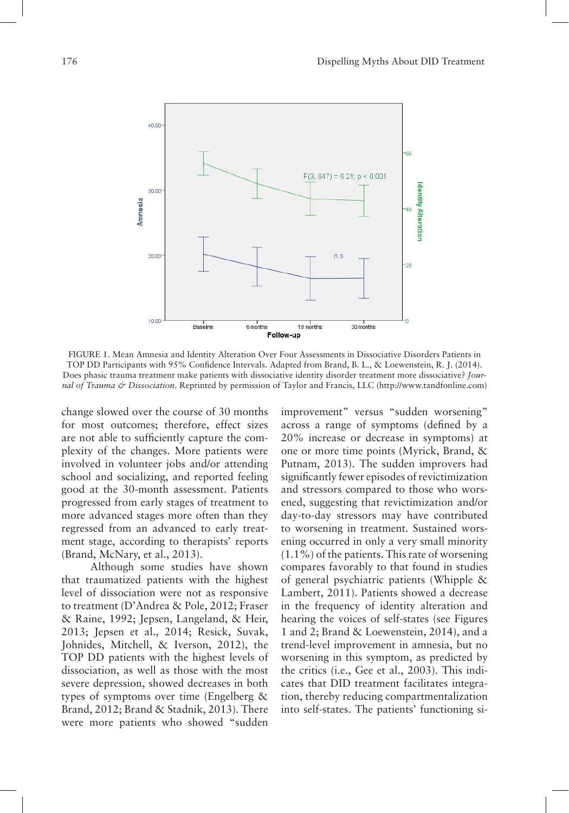

FIGURE 1. Mean Amnesia and Identity Alteration Over Four Assessments in Dissociative Disorders Patients in TOP DD Participants with 95% Confidence Intervals. Adapted from Brand, B. L., & Loewenstein, R. J. (2014). Does phasic trauma treatment make patients with dissociative identity disorder treatment more dissociative? *Journal of Trauma & Dissociation*. Reprinted by permission of Taylor and Francis, LLC (http://www.tandfonline.com)

change slowed over the course of 30 months for most outcomes; therefore, effect sizes are not able to sufficiently capture the complexity of the changes. More patients were involved in volunteer jobs and/or attending school and socializing, and reported feeling good at the 30-month assessment. Patients progressed from early stages of treatment to more advanced stages more often than they regressed from an advanced to early treatment stage, according to therapists' reports (Brand, McNary, et al., 2013).

Although some studies have shown that traumatized patients with the highest level of dissociation were not as responsive to treatment (D'Andrea & Pole, 2012; Fraser & Raine, 1992; Jepsen, Langeland, & Heir, 2013; Jepsen et al., 2014; Resick, Suvak, Johnides, Mitchell, & Iverson, 2012), the TOP DD patients with the highest levels of dissociation, as well as those with the most severe depression, showed decreases in both types of symptoms over time (Engelberg & Brand, 2012; Brand & Stadnik, 2013). There were more patients who showed "sudden improvement" versus "sudden worsening" across a range of symptoms (defined by a 20% increase or decrease in symptoms) at one or more time points (Myrick, Brand, & Putnam, 2013). The sudden improvers had significantly fewer episodes of revictimization and stressors compared to those who worsened, suggesting that revictimization and/or day-to-day stressors may have contributed to worsening in treatment. Sustained worsening occurred in only a very small minority (1.1%) of the patients. This rate of worsening compares favorably to that found in studies of general psychiatric patients (Whipple & Lambert, 2011). Patients showed a decrease in the frequency of identity alteration and hearing the voices of self-states (see Figures 1 and 2; Brand & Loewenstein, 2014), and a trend-level improvement in amnesia, but no worsening in this symptom, as predicted by the critics (i.e., Gee et al., 2003). This indicates that DID treatment facilitates integration, thereby reducing compartmentalization into self-states. The patients' functioning si-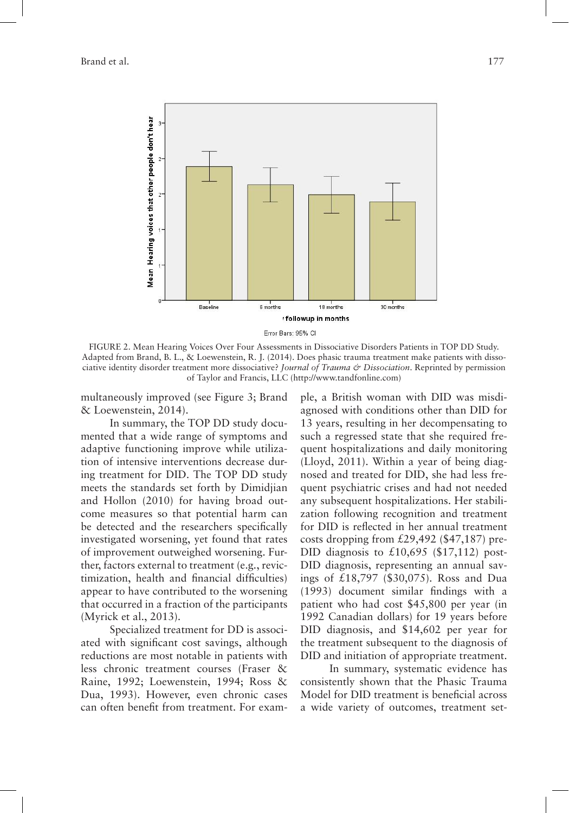

FIGURE 2. Mean Hearing Voices Over Four Assessments in Dissociative Disorders Patients in TOP DD Study. Adapted from Brand, B. L., & Loewenstein, R. J. (2014). Does phasic trauma treatment make patients with dissociative identity disorder treatment more dissociative? *Journal of Trauma & Dissociation*. Reprinted by permission of Taylor and Francis, LLC (http://www.tandfonline.com)

multaneously improved (see Figure 3; Brand & Loewenstein, 2014).

In summary, the TOP DD study documented that a wide range of symptoms and adaptive functioning improve while utilization of intensive interventions decrease during treatment for DID. The TOP DD study meets the standards set forth by Dimidjian and Hollon (2010) for having broad outcome measures so that potential harm can be detected and the researchers specifically investigated worsening, yet found that rates of improvement outweighed worsening. Further, factors external to treatment (e.g., revictimization, health and financial difficulties) appear to have contributed to the worsening that occurred in a fraction of the participants (Myrick et al., 2013).

Specialized treatment for DD is associated with significant cost savings, although reductions are most notable in patients with less chronic treatment courses (Fraser & Raine, 1992; Loewenstein, 1994; Ross & Dua, 1993). However, even chronic cases can often benefit from treatment. For exam-

ple, a British woman with DID was misdiagnosed with conditions other than DID for 13 years, resulting in her decompensating to such a regressed state that she required frequent hospitalizations and daily monitoring (Lloyd, 2011). Within a year of being diagnosed and treated for DID, she had less frequent psychiatric crises and had not needed any subsequent hospitalizations. Her stabilization following recognition and treatment for DID is reflected in her annual treatment costs dropping from £29,492 (\$47,187) pre-DID diagnosis to  $£10,695$  (\$17,112) post-DID diagnosis, representing an annual savings of £18,797 (\$30,075). Ross and Dua (1993) document similar findings with a patient who had cost \$45,800 per year (in 1992 Canadian dollars) for 19 years before DID diagnosis, and \$14,602 per year for the treatment subsequent to the diagnosis of DID and initiation of appropriate treatment.

In summary, systematic evidence has consistently shown that the Phasic Trauma Model for DID treatment is beneficial across a wide variety of outcomes, treatment set-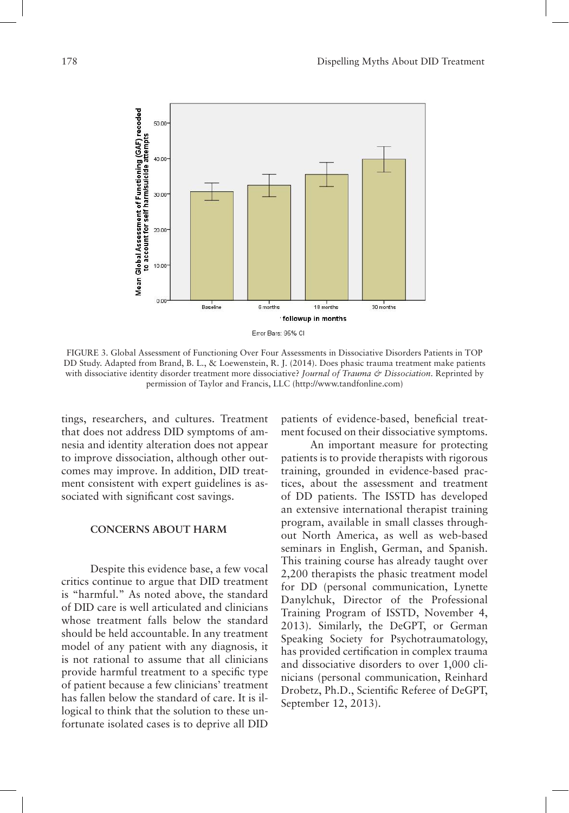

FIGURE 3. Global Assessment of Functioning Over Four Assessments in Dissociative Disorders Patients in TOP DD Study. Adapted from Brand, B. L., & Loewenstein, R. J. (2014). Does phasic trauma treatment make patients with dissociative identity disorder treatment more dissociative? *Journal of Trauma & Dissociation*. Reprinted by permission of Taylor and Francis, LLC (http://www.tandfonline.com)

tings, researchers, and cultures. Treatment that does not address DID symptoms of amnesia and identity alteration does not appear to improve dissociation, although other outcomes may improve. In addition, DID treatment consistent with expert guidelines is associated with significant cost savings.

#### **CONCERNS ABOUT HARM**

Despite this evidence base, a few vocal critics continue to argue that DID treatment is "harmful." As noted above, the standard of DID care is well articulated and clinicians whose treatment falls below the standard should be held accountable. In any treatment model of any patient with any diagnosis, it is not rational to assume that all clinicians provide harmful treatment to a specific type of patient because a few clinicians' treatment has fallen below the standard of care. It is illogical to think that the solution to these unfortunate isolated cases is to deprive all DID patients of evidence-based, beneficial treatment focused on their dissociative symptoms.

An important measure for protecting patients is to provide therapists with rigorous training, grounded in evidence-based practices, about the assessment and treatment of DD patients. The ISSTD has developed an extensive international therapist training program, available in small classes throughout North America, as well as web-based seminars in English, German, and Spanish. This training course has already taught over 2,200 therapists the phasic treatment model for DD (personal communication, Lynette Danylchuk, Director of the Professional Training Program of ISSTD, November 4, 2013). Similarly, the DeGPT, or German Speaking Society for Psychotraumatology, has provided certification in complex trauma and dissociative disorders to over 1,000 clinicians (personal communication, Reinhard Drobetz, Ph.D., Scientific Referee of DeGPT, September 12, 2013).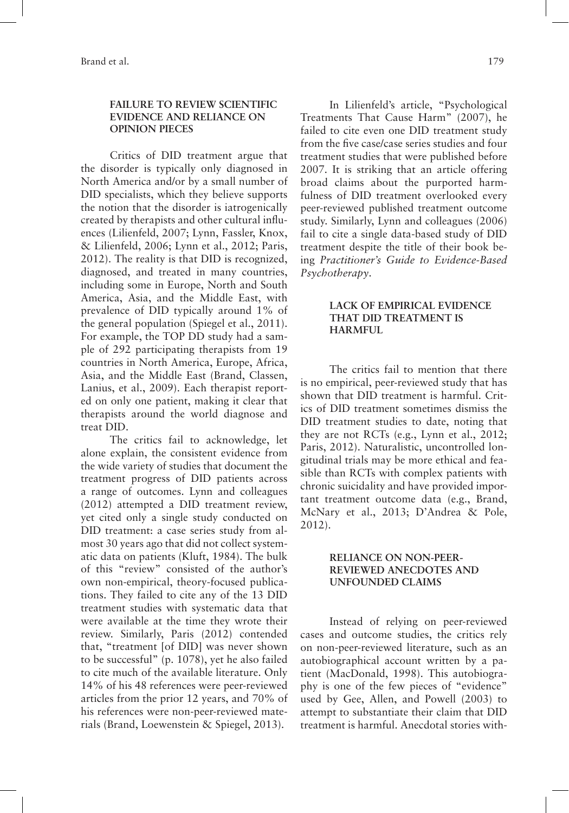## **FAILURE TO REVIEW SCIENTIFIC EVIDENCE AND RELIANCE ON OPINION PIECES**

Critics of DID treatment argue that the disorder is typically only diagnosed in North America and/or by a small number of DID specialists, which they believe supports the notion that the disorder is iatrogenically created by therapists and other cultural influences (Lilienfeld, 2007; Lynn, Fassler, Knox, & Lilienfeld, 2006; Lynn et al., 2012; Paris, 2012). The reality is that DID is recognized, diagnosed, and treated in many countries, including some in Europe, North and South America, Asia, and the Middle East, with prevalence of DID typically around 1% of the general population (Spiegel et al., 2011). For example, the TOP DD study had a sample of 292 participating therapists from 19 countries in North America, Europe, Africa, Asia, and the Middle East (Brand, Classen, Lanius, et al., 2009). Each therapist reported on only one patient, making it clear that therapists around the world diagnose and treat DID.

The critics fail to acknowledge, let alone explain, the consistent evidence from the wide variety of studies that document the treatment progress of DID patients across a range of outcomes. Lynn and colleagues (2012) attempted a DID treatment review, yet cited only a single study conducted on DID treatment: a case series study from almost 30 years ago that did not collect systematic data on patients (Kluft, 1984). The bulk of this "review" consisted of the author's own non-empirical, theory-focused publications. They failed to cite any of the 13 DID treatment studies with systematic data that were available at the time they wrote their review. Similarly, Paris (2012) contended that, "treatment [of DID] was never shown to be successful" (p. 1078), yet he also failed to cite much of the available literature. Only 14% of his 48 references were peer-reviewed articles from the prior 12 years, and 70% of his references were non-peer-reviewed materials (Brand, Loewenstein & Spiegel, 2013).

In Lilienfeld's article, "Psychological Treatments That Cause Harm" (2007), he failed to cite even one DID treatment study from the five case/case series studies and four treatment studies that were published before 2007. It is striking that an article offering broad claims about the purported harmfulness of DID treatment overlooked every peer-reviewed published treatment outcome study. Similarly, Lynn and colleagues (2006) fail to cite a single data-based study of DID treatment despite the title of their book being *Practitioner's Guide to Evidence-Based Psychotherapy*.

## **LACK OF EMPIRICAL EVIDENCE THAT DID TREATMENT IS HARMFUL**

The critics fail to mention that there is no empirical, peer-reviewed study that has shown that DID treatment is harmful. Critics of DID treatment sometimes dismiss the DID treatment studies to date, noting that they are not RCTs (e.g., Lynn et al., 2012; Paris, 2012). Naturalistic, uncontrolled longitudinal trials may be more ethical and feasible than RCTs with complex patients with chronic suicidality and have provided important treatment outcome data (e.g., Brand, McNary et al., 2013; D'Andrea & Pole, 2012).

## **RELIANCE ON NON-PEER-REVIEWED ANECDOTES AND UNFOUNDED CLAIMS**

Instead of relying on peer-reviewed cases and outcome studies, the critics rely on non-peer-reviewed literature, such as an autobiographical account written by a patient (MacDonald, 1998). This autobiography is one of the few pieces of "evidence" used by Gee, Allen, and Powell (2003) to attempt to substantiate their claim that DID treatment is harmful. Anecdotal stories with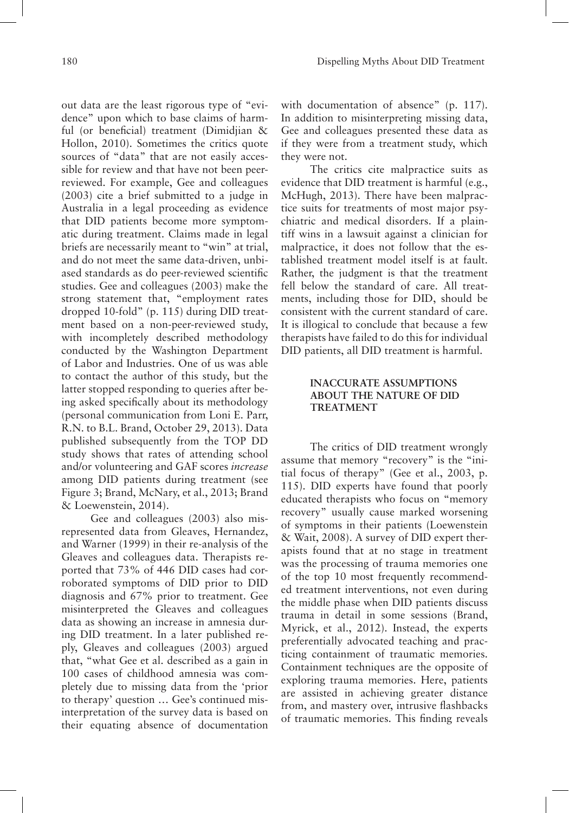out data are the least rigorous type of "evidence" upon which to base claims of harmful (or beneficial) treatment (Dimidiian & Hollon, 2010). Sometimes the critics quote sources of "data" that are not easily accessible for review and that have not been peerreviewed. For example, Gee and colleagues (2003) cite a brief submitted to a judge in Australia in a legal proceeding as evidence that DID patients become more symptomatic during treatment. Claims made in legal briefs are necessarily meant to "win" at trial, and do not meet the same data-driven, unbiased standards as do peer-reviewed scientific studies. Gee and colleagues (2003) make the strong statement that, "employment rates dropped 10-fold" (p. 115) during DID treatment based on a non-peer-reviewed study, with incompletely described methodology conducted by the Washington Department of Labor and Industries. One of us was able to contact the author of this study, but the latter stopped responding to queries after being asked specifically about its methodology (personal communication from Loni E. Parr, R.N. to B.L. Brand, October 29, 2013). Data published subsequently from the TOP DD study shows that rates of attending school and/or volunteering and GAF scores *increase* among DID patients during treatment (see Figure 3; Brand, McNary, et al., 2013; Brand & Loewenstein, 2014).

Gee and colleagues (2003) also misrepresented data from Gleaves, Hernandez, and Warner (1999) in their re-analysis of the Gleaves and colleagues data. Therapists reported that 73% of 446 DID cases had corroborated symptoms of DID prior to DID diagnosis and 67% prior to treatment. Gee misinterpreted the Gleaves and colleagues data as showing an increase in amnesia during DID treatment. In a later published reply, Gleaves and colleagues (2003) argued that, "what Gee et al. described as a gain in 100 cases of childhood amnesia was completely due to missing data from the 'prior to therapy' question … Gee's continued misinterpretation of the survey data is based on their equating absence of documentation with documentation of absence" (p. 117). In addition to misinterpreting missing data, Gee and colleagues presented these data as if they were from a treatment study, which they were not.

The critics cite malpractice suits as evidence that DID treatment is harmful (e.g., McHugh, 2013). There have been malpractice suits for treatments of most major psychiatric and medical disorders. If a plaintiff wins in a lawsuit against a clinician for malpractice, it does not follow that the established treatment model itself is at fault. Rather, the judgment is that the treatment fell below the standard of care. All treatments, including those for DID, should be consistent with the current standard of care. It is illogical to conclude that because a few therapists have failed to do this for individual DID patients, all DID treatment is harmful.

## **INACCURATE ASSUMPTIONS ABOUT THE NATURE OF DID TREATMENT**

The critics of DID treatment wrongly assume that memory "recovery" is the "initial focus of therapy" (Gee et al., 2003, p. 115). DID experts have found that poorly educated therapists who focus on "memory recovery" usually cause marked worsening of symptoms in their patients (Loewenstein & Wait, 2008). A survey of DID expert therapists found that at no stage in treatment was the processing of trauma memories one of the top 10 most frequently recommended treatment interventions, not even during the middle phase when DID patients discuss trauma in detail in some sessions (Brand, Myrick, et al., 2012). Instead, the experts preferentially advocated teaching and practicing containment of traumatic memories. Containment techniques are the opposite of exploring trauma memories. Here, patients are assisted in achieving greater distance from, and mastery over, intrusive flashbacks of traumatic memories. This finding reveals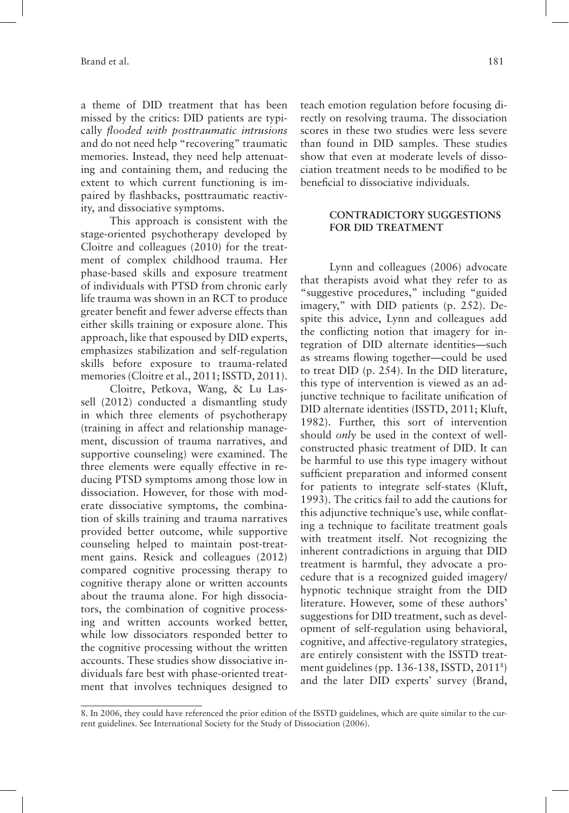a theme of DID treatment that has been missed by the critics: DID patients are typically *flooded with posttraumatic intrusions* and do not need help "recovering" traumatic memories. Instead, they need help attenuating and containing them, and reducing the extent to which current functioning is impaired by flashbacks, posttraumatic reactivity, and dissociative symptoms.

This approach is consistent with the stage-oriented psychotherapy developed by Cloitre and colleagues (2010) for the treatment of complex childhood trauma. Her phase-based skills and exposure treatment of individuals with PTSD from chronic early life trauma was shown in an RCT to produce greater benefit and fewer adverse effects than either skills training or exposure alone. This approach, like that espoused by DID experts, emphasizes stabilization and self-regulation skills before exposure to trauma-related memories (Cloitre et al., 2011; ISSTD, 2011).

Cloitre, Petkova, Wang, & Lu Lassell (2012) conducted a dismantling study in which three elements of psychotherapy (training in affect and relationship management, discussion of trauma narratives, and supportive counseling) were examined. The three elements were equally effective in reducing PTSD symptoms among those low in dissociation. However, for those with moderate dissociative symptoms, the combination of skills training and trauma narratives provided better outcome, while supportive counseling helped to maintain post-treatment gains. Resick and colleagues (2012) compared cognitive processing therapy to cognitive therapy alone or written accounts about the trauma alone. For high dissociators, the combination of cognitive processing and written accounts worked better, while low dissociators responded better to the cognitive processing without the written accounts. These studies show dissociative individuals fare best with phase-oriented treatment that involves techniques designed to

teach emotion regulation before focusing directly on resolving trauma. The dissociation scores in these two studies were less severe than found in DID samples. These studies show that even at moderate levels of dissociation treatment needs to be modified to be beneficial to dissociative individuals.

## **CONTRADICTORY SUGGESTIONS FOR DID TREATMENT**

Lynn and colleagues (2006) advocate that therapists avoid what they refer to as "suggestive procedures," including "guided imagery," with DID patients (p. 252). Despite this advice, Lynn and colleagues add the conflicting notion that imagery for integration of DID alternate identities—such as streams flowing together—could be used to treat DID (p. 254). In the DID literature, this type of intervention is viewed as an adjunctive technique to facilitate unification of DID alternate identities (ISSTD, 2011; Kluft, 1982). Further, this sort of intervention should *only* be used in the context of wellconstructed phasic treatment of DID. It can be harmful to use this type imagery without sufficient preparation and informed consent for patients to integrate self-states (Kluft, 1993). The critics fail to add the cautions for this adjunctive technique's use, while conflating a technique to facilitate treatment goals with treatment itself. Not recognizing the inherent contradictions in arguing that DID treatment is harmful, they advocate a procedure that is a recognized guided imagery/ hypnotic technique straight from the DID literature. However, some of these authors' suggestions for DID treatment, such as development of self-regulation using behavioral, cognitive, and affective-regulatory strategies, are entirely consistent with the ISSTD treatment guidelines (pp. 136-138, ISSTD, 20118 ) and the later DID experts' survey (Brand,

<sup>8.</sup> In 2006, they could have referenced the prior edition of the ISSTD guidelines, which are quite similar to the current guidelines. See International Society for the Study of Dissociation (2006).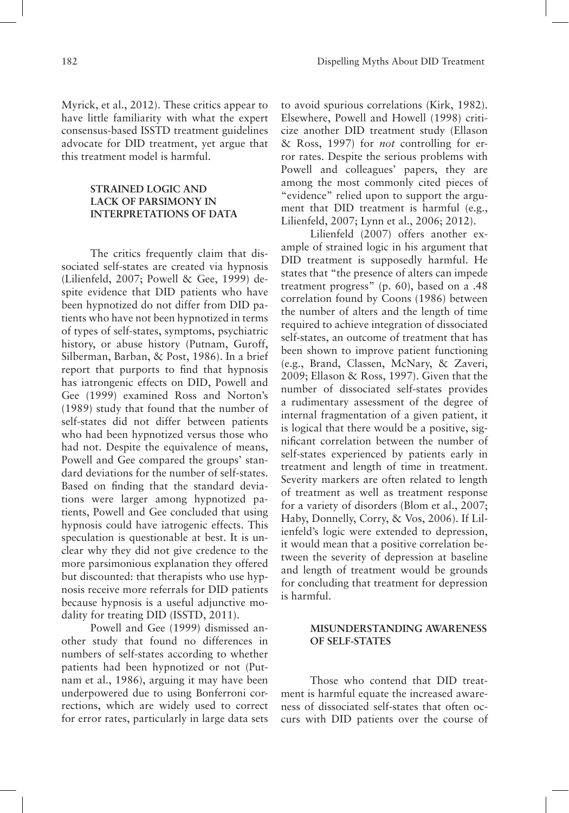Myrick, et al., 2012). These critics appear to have little familiarity with what the expert consensus-based ISSTD treatment guidelines advocate for DID treatment, yet argue that this treatment model is harmful.

## **STRAINED LOGIC AND LACK OF PARSIMONY IN INTERPRETATIONS OF DATA**

The critics frequently claim that dissociated self-states are created via hypnosis (Lilienfeld, 2007; Powell & Gee, 1999) despite evidence that DID patients who have been hypnotized do not differ from DID patients who have not been hypnotized in terms of types of self-states, symptoms, psychiatric history, or abuse history (Putnam, Guroff, Silberman, Barban, & Post, 1986). In a brief report that purports to find that hypnosis has iatrongenic effects on DID, Powell and Gee (1999) examined Ross and Norton's (1989) study that found that the number of self-states did not differ between patients who had been hypnotized versus those who had not. Despite the equivalence of means, Powell and Gee compared the groups' standard deviations for the number of self-states. Based on finding that the standard deviations were larger among hypnotized patients, Powell and Gee concluded that using hypnosis could have iatrogenic effects. This speculation is questionable at best. It is unclear why they did not give credence to the more parsimonious explanation they offered but discounted: that therapists who use hypnosis receive more referrals for DID patients because hypnosis is a useful adjunctive modality for treating DID (ISSTD, 2011).

Powell and Gee (1999) dismissed another study that found no differences in numbers of self-states according to whether patients had been hypnotized or not (Putnam et al., 1986), arguing it may have been underpowered due to using Bonferroni corrections, which are widely used to correct for error rates, particularly in large data sets to avoid spurious correlations (Kirk, 1982). Elsewhere, Powell and Howell (1998) criticize another DID treatment study (Ellason & Ross, 1997) for *not* controlling for error rates. Despite the serious problems with Powell and colleagues' papers, they are among the most commonly cited pieces of "evidence" relied upon to support the argument that DID treatment is harmful (e.g., Lilienfeld, 2007; Lynn et al., 2006; 2012).

Lilienfeld (2007) offers another example of strained logic in his argument that DID treatment is supposedly harmful. He states that "the presence of alters can impede treatment progress" (p. 60), based on a .48 correlation found by Coons (1986) between the number of alters and the length of time required to achieve integration of dissociated self-states, an outcome of treatment that has been shown to improve patient functioning (e.g., Brand, Classen, McNary, & Zaveri, 2009; Ellason & Ross, 1997). Given that the number of dissociated self-states provides a rudimentary assessment of the degree of internal fragmentation of a given patient, it is logical that there would be a positive, significant correlation between the number of self-states experienced by patients early in treatment and length of time in treatment. Severity markers are often related to length of treatment as well as treatment response for a variety of disorders (Blom et al., 2007; Haby, Donnelly, Corry, & Vos, 2006). If Lilienfeld's logic were extended to depression, it would mean that a positive correlation between the severity of depression at baseline and length of treatment would be grounds for concluding that treatment for depression is harmful.

## **MISUNDERSTANDING AWARENESS OF SELF-STATES**

Those who contend that DID treatment is harmful equate the increased awareness of dissociated self-states that often occurs with DID patients over the course of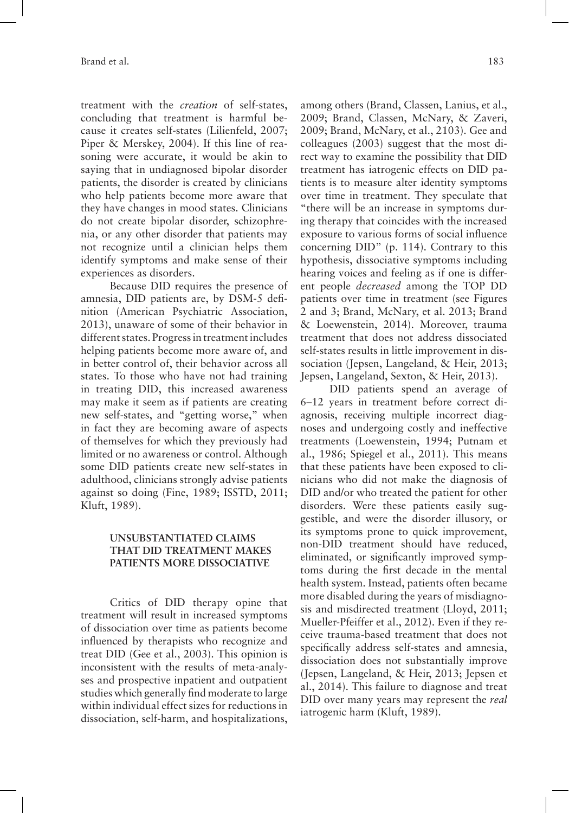treatment with the *creation* of self-states, concluding that treatment is harmful because it creates self-states (Lilienfeld, 2007; Piper & Merskey, 2004). If this line of reasoning were accurate, it would be akin to saying that in undiagnosed bipolar disorder patients, the disorder is created by clinicians who help patients become more aware that they have changes in mood states. Clinicians do not create bipolar disorder, schizophrenia, or any other disorder that patients may not recognize until a clinician helps them identify symptoms and make sense of their experiences as disorders.

Because DID requires the presence of amnesia, DID patients are, by DSM-5 definition (American Psychiatric Association, 2013), unaware of some of their behavior in different states. Progress in treatment includes helping patients become more aware of, and in better control of, their behavior across all states. To those who have not had training in treating DID, this increased awareness may make it seem as if patients are creating new self-states, and "getting worse," when in fact they are becoming aware of aspects of themselves for which they previously had limited or no awareness or control. Although some DID patients create new self-states in adulthood, clinicians strongly advise patients against so doing (Fine, 1989; ISSTD, 2011; Kluft, 1989).

## **UNSUBSTANTIATED CLAIMS THAT DID TREATMENT MAKES PATIENTS MORE DISSOCIATIVE**

Critics of DID therapy opine that treatment will result in increased symptoms of dissociation over time as patients become influenced by therapists who recognize and treat DID (Gee et al., 2003). This opinion is inconsistent with the results of meta-analyses and prospective inpatient and outpatient studies which generally find moderate to large within individual effect sizes for reductions in dissociation, self-harm, and hospitalizations,

among others (Brand, Classen, Lanius, et al., 2009; Brand, Classen, McNary, & Zaveri, 2009; Brand, McNary, et al., 2103). Gee and colleagues (2003) suggest that the most direct way to examine the possibility that DID treatment has iatrogenic effects on DID patients is to measure alter identity symptoms over time in treatment. They speculate that "there will be an increase in symptoms during therapy that coincides with the increased exposure to various forms of social influence concerning DID" (p. 114). Contrary to this hypothesis, dissociative symptoms including hearing voices and feeling as if one is different people *decreased* among the TOP DD patients over time in treatment (see Figures 2 and 3; Brand, McNary, et al. 2013; Brand & Loewenstein, 2014). Moreover, trauma treatment that does not address dissociated self-states results in little improvement in dissociation (Jepsen, Langeland, & Heir, 2013; Jepsen, Langeland, Sexton, & Heir, 2013).

DID patients spend an average of 6–12 years in treatment before correct diagnosis, receiving multiple incorrect diagnoses and undergoing costly and ineffective treatments (Loewenstein, 1994; Putnam et al., 1986; Spiegel et al., 2011). This means that these patients have been exposed to clinicians who did not make the diagnosis of DID and/or who treated the patient for other disorders. Were these patients easily suggestible, and were the disorder illusory, or its symptoms prone to quick improvement, non-DID treatment should have reduced, eliminated, or significantly improved symptoms during the first decade in the mental health system. Instead, patients often became more disabled during the years of misdiagnosis and misdirected treatment (Lloyd, 2011; Mueller-Pfeiffer et al., 2012). Even if they receive trauma-based treatment that does not specifically address self-states and amnesia, dissociation does not substantially improve (Jepsen, Langeland, & Heir, 2013; Jepsen et al., 2014). This failure to diagnose and treat DID over many years may represent the *real* iatrogenic harm (Kluft, 1989).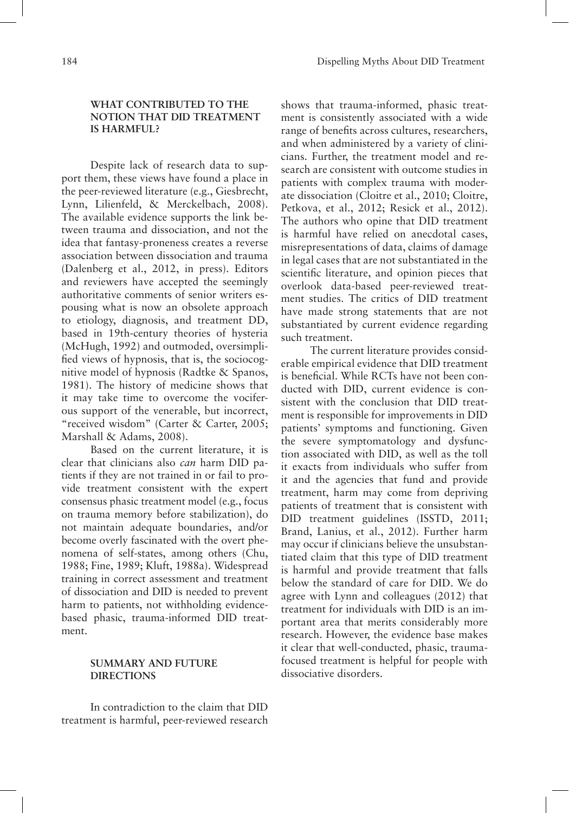## **WHAT CONTRIBUTED TO THE NOTION THAT DID TREATMENT IS HARMFUL?**

Despite lack of research data to support them, these views have found a place in the peer-reviewed literature (e.g., Giesbrecht, Lynn, Lilienfeld, & Merckelbach, 2008). The available evidence supports the link between trauma and dissociation, and not the idea that fantasy-proneness creates a reverse association between dissociation and trauma (Dalenberg et al., 2012, in press). Editors and reviewers have accepted the seemingly authoritative comments of senior writers espousing what is now an obsolete approach to etiology, diagnosis, and treatment DD, based in 19th-century theories of hysteria (McHugh, 1992) and outmoded, oversimplified views of hypnosis, that is, the sociocognitive model of hypnosis (Radtke & Spanos, 1981). The history of medicine shows that it may take time to overcome the vociferous support of the venerable, but incorrect, "received wisdom" (Carter & Carter, 2005; Marshall & Adams, 2008).

Based on the current literature, it is clear that clinicians also *can* harm DID patients if they are not trained in or fail to provide treatment consistent with the expert consensus phasic treatment model (e.g., focus on trauma memory before stabilization), do not maintain adequate boundaries, and/or become overly fascinated with the overt phenomena of self-states, among others (Chu, 1988; Fine, 1989; Kluft, 1988a). Widespread training in correct assessment and treatment of dissociation and DID is needed to prevent harm to patients, not withholding evidencebased phasic, trauma-informed DID treatment.

## **SUMMARY AND FUTURE DIRECTIONS**

In contradiction to the claim that DID treatment is harmful, peer-reviewed research shows that trauma-informed, phasic treatment is consistently associated with a wide range of benefits across cultures, researchers, and when administered by a variety of clinicians. Further, the treatment model and research are consistent with outcome studies in patients with complex trauma with moderate dissociation (Cloitre et al., 2010; Cloitre, Petkova, et al., 2012; Resick et al., 2012). The authors who opine that DID treatment is harmful have relied on anecdotal cases, misrepresentations of data, claims of damage in legal cases that are not substantiated in the scientific literature, and opinion pieces that overlook data-based peer-reviewed treatment studies. The critics of DID treatment have made strong statements that are not substantiated by current evidence regarding such treatment.

The current literature provides considerable empirical evidence that DID treatment is beneficial. While RCTs have not been conducted with DID, current evidence is consistent with the conclusion that DID treatment is responsible for improvements in DID patients' symptoms and functioning. Given the severe symptomatology and dysfunction associated with DID, as well as the toll it exacts from individuals who suffer from it and the agencies that fund and provide treatment, harm may come from depriving patients of treatment that is consistent with DID treatment guidelines (ISSTD, 2011; Brand, Lanius, et al., 2012). Further harm may occur if clinicians believe the unsubstantiated claim that this type of DID treatment is harmful and provide treatment that falls below the standard of care for DID. We do agree with Lynn and colleagues (2012) that treatment for individuals with DID is an important area that merits considerably more research. However, the evidence base makes it clear that well-conducted, phasic, traumafocused treatment is helpful for people with dissociative disorders.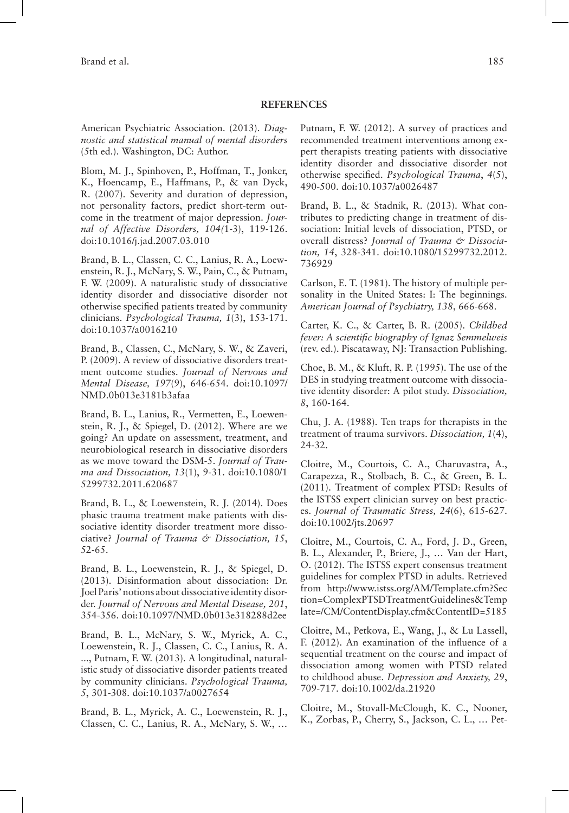Brand et al. 185

#### **REFERENCES**

American Psychiatric Association. (2013). *Diagnostic and statistical manual of mental disorders* (5th ed.). Washington, DC: Author.

Blom, M. J., Spinhoven, P., Hoffman, T., Jonker, K., Hoencamp, E., Haffmans, P., & van Dyck, R. (2007). Severity and duration of depression, not personality factors, predict short-term outcome in the treatment of major depression. *Journal of Affective Disorders, 104(*1-3), 119-126. doi:10.1016/j.jad.2007.03.010

Brand, B. L., Classen, C. C., Lanius, R. A., Loewenstein, R. J., McNary, S. W., Pain, C., & Putnam, F. W. (2009). A naturalistic study of dissociative identity disorder and dissociative disorder not otherwise specified patients treated by community clinicians. *Psychological Trauma, 1*(3), 153-171. doi:10.1037/a0016210

Brand, B., Classen, C., McNary, S. W., & Zaveri, P. (2009). A review of dissociative disorders treatment outcome studies. *Journal of Nervous and Mental Disease, 197*(9), 646-654. doi:10.1097/ NMD.0b013e3181b3afaa

Brand, B. L., Lanius, R., Vermetten, E., Loewenstein, R. J., & Spiegel, D. (2012). Where are we going? An update on assessment, treatment, and neurobiological research in dissociative disorders as we move toward the DSM-5. *Journal of Trauma and Dissociation, 13*(1), 9-31. doi:10.1080/1 5299732.2011.620687

Brand, B. L., & Loewenstein, R. J. (2014). Does phasic trauma treatment make patients with dissociative identity disorder treatment more dissociative? *Journal of Trauma & Dissociation, 15*, 52-65.

Brand, B. L., Loewenstein, R. J., & Spiegel, D. (2013). Disinformation about dissociation: Dr. Joel Paris' notions about dissociative identity disorder. *Journal of Nervous and Mental Disease, 201*, 354-356. doi:10.1097/NMD.0b013e318288d2ee

Brand, B. L., McNary, S. W., Myrick, A. C., Loewenstein, R. J., Classen, C. C., Lanius, R. A. ..., Putnam, F. W. (2013). A longitudinal, naturalistic study of dissociative disorder patients treated by community clinicians. *Psychological Trauma, 5*, 301-308*.* doi:10.1037/a0027654

Brand, B. L., Myrick, A. C., Loewenstein, R. J., Classen, C. C., Lanius, R. A., McNary, S. W., … Putnam, F. W. (2012). A survey of practices and recommended treatment interventions among expert therapists treating patients with dissociative identity disorder and dissociative disorder not otherwise specified. *Psychological Trauma*, *4*(5), 490-500. doi:10.1037/a0026487

Brand, B. L., & Stadnik, R. (2013). What contributes to predicting change in treatment of dissociation: Initial levels of dissociation, PTSD, or overall distress? *Journal of Trauma & Dissociation, 14*, 328-341. doi:10.1080/15299732.2012. 736929

Carlson, E. T. (1981). The history of multiple personality in the United States: I: The beginnings. *American Journal of Psychiatry, 138*, 666-668.

Carter, K. C., & Carter, B. R. (2005). *Childbed fever: A scientific biography of Ignaz Semmelweis* (rev. ed.). Piscataway, NJ: Transaction Publishing.

Choe, B. M., & Kluft, R. P. (1995). The use of the DES in studying treatment outcome with dissociative identity disorder: A pilot study. *Dissociation, 8*, 160-164.

Chu, J. A. (1988). Ten traps for therapists in the treatment of trauma survivors. *Dissociation, 1*(4), 24-32.

Cloitre, M., Courtois, C. A., Charuvastra, A., Carapezza, R., Stolbach, B. C., & Green, B. L. (2011). Treatment of complex PTSD: Results of the ISTSS expert clinician survey on best practices. *Journal of Traumatic Stress, 24*(6), 615-627. doi:10.1002/jts.20697

Cloitre, M., Courtois, C. A., Ford, J. D., Green, B. L., Alexander, P., Briere, J., … Van der Hart, O. (2012). The ISTSS expert consensus treatment guidelines for complex PTSD in adults. Retrieved from http://www.istss.org/AM/Template.cfm?Sec tion=ComplexPTSDTreatmentGuidelines&Temp late=/CM/ContentDisplay.cfm&ContentID=5185

Cloitre, M., Petkova, E., Wang, J., & Lu Lassell, F. (2012). An examination of the influence of a sequential treatment on the course and impact of dissociation among women with PTSD related to childhood abuse. *Depression and Anxiety, 29*, 709-717. doi:10.1002/da.21920

Cloitre, M., Stovall-McClough, K. C., Nooner, K., Zorbas, P., Cherry, S., Jackson, C. L., … Pet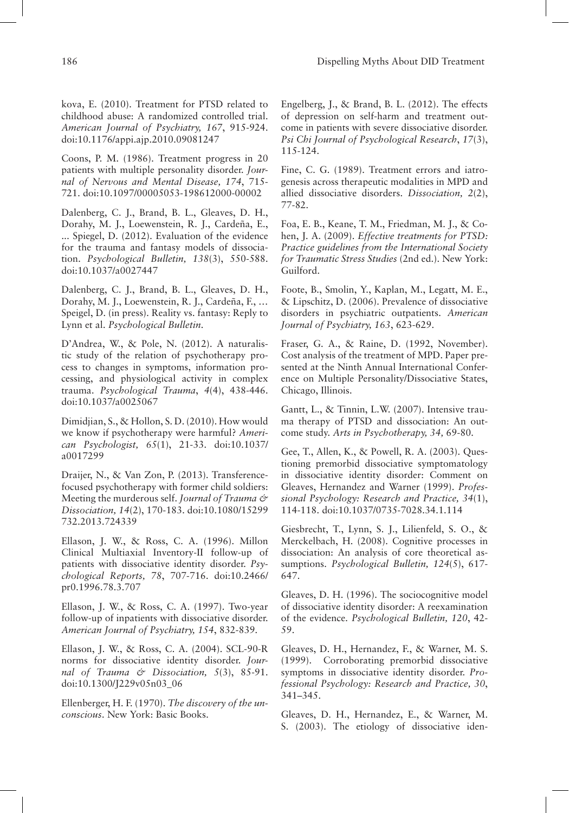kova, E. (2010). Treatment for PTSD related to childhood abuse: A randomized controlled trial. *American Journal of Psychiatry, 167*, 915-924. doi:10.1176/appi.ajp.2010.09081247

Coons, P. M. (1986). Treatment progress in 20 patients with multiple personality disorder. *Journal of Nervous and Mental Disease, 174*, 715- 721. doi:10.1097/00005053-198612000-00002

Dalenberg, C. J., Brand, B. L., Gleaves, D. H., Dorahy, M. J., Loewenstein, R. J., Cardeña, E., ... Spiegel, D. (2012). Evaluation of the evidence for the trauma and fantasy models of dissociation. *Psychological Bulletin, 138*(3), 550-588. doi:10.1037/a0027447

Dalenberg, C. J., Brand, B. L., Gleaves, D. H., Dorahy, M. J., Loewenstein, R. J., Cardeña, F., … Speigel, D. (in press). Reality vs. fantasy: Reply to Lynn et al. *Psychological Bulletin*.

D'Andrea, W., & Pole, N. (2012). A naturalistic study of the relation of psychotherapy process to changes in symptoms, information processing, and physiological activity in complex trauma. *Psychological Trauma*, *4*(4), 438-446. doi:10.1037/a0025067

Dimidjian, S., & Hollon, S. D. (2010). How would we know if psychotherapy were harmful? *American Psychologist, 65*(1), 21-33. doi:10.1037/ a0017299

Draijer, N., & Van Zon, P. (2013). Transferencefocused psychotherapy with former child soldiers: Meeting the murderous self. *Journal of Trauma & Dissociation, 14*(2), 170-183. doi:10.1080/15299 732.2013.724339

Ellason, J. W., & Ross, C. A. (1996). Millon Clinical Multiaxial Inventory-II follow-up of patients with dissociative identity disorder. *Psychological Reports, 78*, 707-716. doi:10.2466/ pr0.1996.78.3.707

Ellason, J. W., & Ross, C. A. (1997). Two-year follow-up of inpatients with dissociative disorder. *American Journal of Psychiatry, 154*, 832-839.

Ellason, J. W., & Ross, C. A. (2004). SCL-90-R norms for dissociative identity disorder. *Journal of Trauma & Dissociation, 5*(3), 85-91. doi:10.1300/J229v05n03\_06

Ellenberger, H. F. (1970). *The discovery of the unconscious*. New York: Basic Books.

Engelberg, J., & Brand, B. L. (2012). The effects of depression on self-harm and treatment outcome in patients with severe dissociative disorder. *Psi Chi Journal of Psychological Research*, *17*(3), 115-124.

Fine, C. G. (1989). Treatment errors and iatrogenesis across therapeutic modalities in MPD and allied dissociative disorders. *Dissociation, 2*(2), 77-82.

Foa, E. B., Keane, T. M., Friedman, M. J., & Cohen, J. A. (2009). *Effective treatments for PTSD: Practice guidelines from the International Society for Traumatic Stress Studies* (2nd ed.). New York: Guilford.

Foote, B., Smolin, Y., Kaplan, M., Legatt, M. E., & Lipschitz, D. (2006). Prevalence of dissociative disorders in psychiatric outpatients. *American Journal of Psychiatry, 163*, 623-629.

Fraser, G. A., & Raine, D. (1992, November). Cost analysis of the treatment of MPD. Paper presented at the Ninth Annual International Conference on Multiple Personality/Dissociative States, Chicago, Illinois.

Gantt, L., & Tinnin, L.W. (2007). Intensive trauma therapy of PTSD and dissociation: An outcome study. *Arts in Psychotherapy, 34,* 69-80.

Gee, T., Allen, K., & Powell, R. A. (2003). Questioning premorbid dissociative symptomatology in dissociative identity disorder: Comment on Gleaves, Hernandez and Warner (1999). *Professional Psychology: Research and Practice, 34*(1), 114-118. doi:10.1037/0735-7028.34.1.114

Giesbrecht, T., Lynn, S. J., Lilienfeld, S. O., & Merckelbach, H. (2008). Cognitive processes in dissociation: An analysis of core theoretical assumptions. *Psychological Bulletin, 124*(5), 617- 647.

Gleaves, D. H. (1996). The sociocognitive model of dissociative identity disorder: A reexamination of the evidence. *Psychological Bulletin, 120*, 42- 59.

Gleaves, D. H., Hernandez, F., & Warner, M. S. (1999). Corroborating premorbid dissociative symptoms in dissociative identity disorder. *Professional Psychology: Research and Practice, 30*, 341–345.

Gleaves, D. H., Hernandez, E., & Warner, M. S. (2003). The etiology of dissociative iden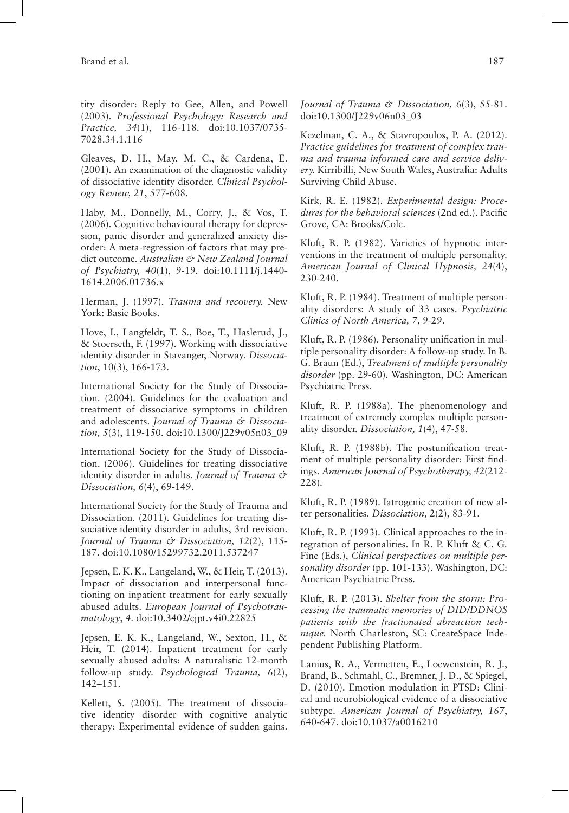tity disorder: Reply to Gee, Allen, and Powell (2003). *Professional Psychology: Research and Practice, 34*(1), 116-118. doi:10.1037/0735- 7028.34.1.116

Gleaves, D. H., May, M. C., & Cardena, E. (2001). An examination of the diagnostic validity of dissociative identity disorder. *Clinical Psychology Review, 21*, 577-608.

Haby, M., Donnelly, M., Corry, J., & Vos, T. (2006). Cognitive behavioural therapy for depression, panic disorder and generalized anxiety disorder: A meta-regression of factors that may predict outcome. *Australian & New Zealand Journal of Psychiatry, 40*(1), 9-19. doi:10.1111/j.1440- 1614.2006.01736.x

Herman, J. (1997). *Trauma and recovery.* New York: Basic Books.

Hove, I., Langfeldt, T. S., Boe, T., Haslerud, J., & Stoerseth, F. (1997). Working with dissociative identity disorder in Stavanger, Norway. *Dissociation*, 10(3), 166-173.

International Society for the Study of Dissociation. (2004). Guidelines for the evaluation and treatment of dissociative symptoms in children and adolescents. *Journal of Trauma & Dissociation, 5*(3), 119-150. doi:10.1300/J229v05n03\_09

International Society for the Study of Dissociation. (2006). Guidelines for treating dissociative identity disorder in adults. *Journal of Trauma & Dissociation, 6*(4), 69-149.

International Society for the Study of Trauma and Dissociation. (2011). Guidelines for treating dissociative identity disorder in adults, 3rd revision. *Journal of Trauma & Dissociation, 12*(2), 115- 187. doi:10.1080/15299732.2011.537247

Jepsen, E. K. K., Langeland, W., & Heir, T. (2013). Impact of dissociation and interpersonal functioning on inpatient treatment for early sexually abused adults. *European Journal of Psychotraumatology*, *4*. doi:10.3402/ejpt.v4i0.22825

Jepsen, E. K. K., Langeland, W., Sexton, H., & Heir, T. (2014). Inpatient treatment for early sexually abused adults: A naturalistic 12-month follow-up study. *Psychological Trauma, 6*(2), 142–151.

Kellett, S. (2005). The treatment of dissociative identity disorder with cognitive analytic therapy: Experimental evidence of sudden gains. *Journal of Trauma & Dissociation, 6*(3), 55-81. doi:10.1300/J229v06n03\_03

Kezelman, C. A., & Stavropoulos, P. A. (2012). *Practice guidelines for treatment of complex trauma and trauma informed care and service delivery.* Kirribilli, New South Wales, Australia: Adults Surviving Child Abuse.

Kirk, R. E. (1982). *Experimental design: Procedures for the behavioral sciences* (2nd ed.). Pacific Grove, CA: Brooks/Cole.

Kluft, R. P. (1982). Varieties of hypnotic interventions in the treatment of multiple personality. *American Journal of Clinical Hypnosis, 24*(4), 230-240.

Kluft, R. P. (1984). Treatment of multiple personality disorders: A study of 33 cases. *Psychiatric Clinics of North America, 7*, 9-29.

Kluft, R. P. (1986). Personality unification in multiple personality disorder: A follow-up study. In B. G. Braun (Ed.), *Treatment of multiple personality disorder* (pp. 29-60). Washington, DC: American Psychiatric Press.

Kluft, R. P. (1988a). The phenomenology and treatment of extremely complex multiple personality disorder. *Dissociation, 1*(4), 47-58.

Kluft, R. P. (1988b). The postunification treatment of multiple personality disorder: First findings. *American Journal of Psychotherapy, 42*(212- 228).

Kluft, R. P. (1989). Iatrogenic creation of new alter personalities. *Dissociation,* 2(2), 83-91.

Kluft, R. P. (1993). Clinical approaches to the integration of personalities. In R. P. Kluft & C. G. Fine (Eds.), *Clinical perspectives on multiple personality disorder* (pp. 101-133). Washington, DC: American Psychiatric Press.

Kluft, R. P. (2013). *Shelter from the storm: Processing the traumatic memories of DID/DDNOS patients with the fractionated abreaction technique.* North Charleston, SC: CreateSpace Independent Publishing Platform.

Lanius, R. A., Vermetten, E., Loewenstein, R. J., Brand, B., Schmahl, C., Bremner, J. D., & Spiegel, D. (2010). Emotion modulation in PTSD: Clinical and neurobiological evidence of a dissociative subtype. *American Journal of Psychiatry, 167*, 640-647*.* doi:10.1037/a0016210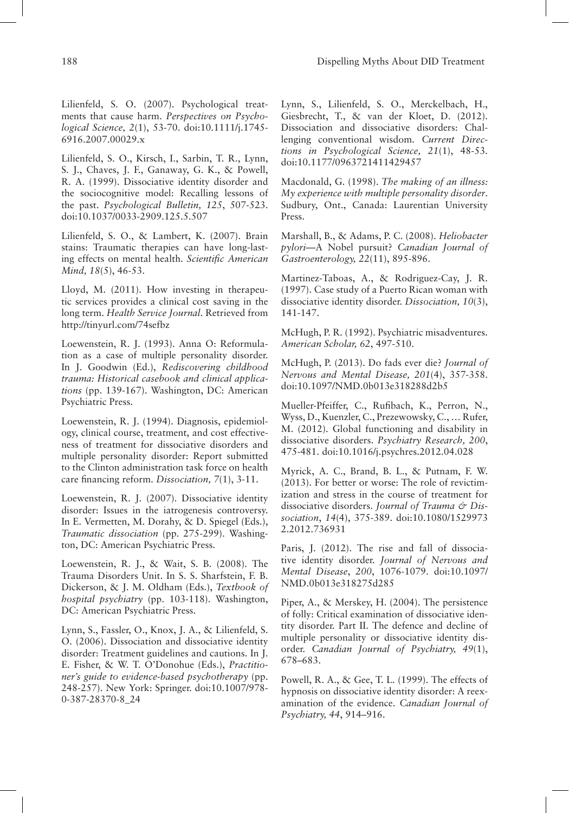Lilienfeld, S. O. (2007). Psychological treatments that cause harm. *Perspectives on Psychological Science, 2*(1), 53-70. doi:10.1111/j.1745- 6916.2007.00029.x

Lilienfeld, S. O., Kirsch, I., Sarbin, T. R., Lynn, S. J., Chaves, J. F., Ganaway, G. K., & Powell, R. A. (1999). Dissociative identity disorder and the sociocognitive model: Recalling lessons of the past. *Psychological Bulletin, 125*, 507-523. doi:10.1037/0033-2909.125.5.507

Lilienfeld, S. O., & Lambert, K. (2007). Brain stains: Traumatic therapies can have long-lasting effects on mental health. *Scientific American Mind, 18*(5), 46-53.

Lloyd, M. (2011). How investing in therapeutic services provides a clinical cost saving in the long term. *Health Service Journal*. Retrieved from http://tinyurl.com/74sefbz

Loewenstein, R. J. (1993). Anna O: Reformulation as a case of multiple personality disorder. In J. Goodwin (Ed.), *Rediscovering childhood trauma: Historical casebook and clinical applications* (pp. 139-167). Washington, DC: American Psychiatric Press.

Loewenstein, R. J. (1994). Diagnosis, epidemiology, clinical course, treatment, and cost effectiveness of treatment for dissociative disorders and multiple personality disorder: Report submitted to the Clinton administration task force on health care financing reform. *Dissociation, 7*(1), 3-11.

Loewenstein, R. J. (2007). Dissociative identity disorder: Issues in the iatrogenesis controversy. In E. Vermetten, M. Dorahy, & D. Spiegel (Eds.), *Traumatic dissociation* (pp. 275-299). Washington, DC: American Psychiatric Press.

Loewenstein, R. J., & Wait, S. B. (2008). The Trauma Disorders Unit. In S. S. Sharfstein, F. B. Dickerson, & J. M. Oldham (Eds.), *Textbook of hospital psychiatry* (pp. 103-118). Washington, DC: American Psychiatric Press.

Lynn, S., Fassler, O., Knox, J. A., & Lilienfeld, S. O. (2006). Dissociation and dissociative identity disorder: Treatment guidelines and cautions. In J. E. Fisher, & W. T. O'Donohue (Eds.), *Practitioner's guide to evidence-based psychotherapy* (pp. 248-257). New York: Springer. doi:10.1007/978- 0-387-28370-8\_24

Lynn, S., Lilienfeld, S. O., Merckelbach, H., Giesbrecht, T., & van der Kloet, D. (2012). Dissociation and dissociative disorders: Challenging conventional wisdom. *Current Directions in Psychological Science, 21*(1), 48-53. doi:10.1177/0963721411429457

Macdonald, G. (1998). *The making of an illness: My experience with multiple personality disorder*. Sudbury, Ont., Canada: Laurentian University Press.

Marshall, B., & Adams, P. C. (2008). *Heliobacter pylori*—A Nobel pursuit? *Canadian Journal of Gastroenterology, 22*(11), 895-896.

Martinez-Taboas, A., & Rodriguez-Cay, J. R. (1997). Case study of a Puerto Rican woman with dissociative identity disorder. *Dissociation, 10*(3), 141-147.

McHugh, P. R. (1992). Psychiatric misadventures. *American Scholar, 62*, 497-510.

McHugh, P. (2013). Do fads ever die? *Journal of Nervous and Mental Disease, 201*(4), 357-358. doi:10.1097/NMD.0b013e318288d2b5

Mueller-Pfeiffer, C., Rufibach, K., Perron, N., Wyss, D., Kuenzler, C., Prezewowsky, C., … Rufer, M. (2012). Global functioning and disability in dissociative disorders. *Psychiatry Research, 200*, 475-481. doi:10.1016/j.psychres.2012.04.028

Myrick, A. C., Brand, B. L., & Putnam, F. W. (2013). For better or worse: The role of revictimization and stress in the course of treatment for dissociative disorders. *Journal of Trauma & Dissociation*, *14*(4), 375-389. doi:10.1080/1529973 2.2012.736931

Paris, J. (2012). The rise and fall of dissociative identity disorder. *Journal of Nervous and Mental Disease*, *200*, 1076-1079. doi:10.1097/ NMD.0b013e318275d285

Piper, A., & Merskey, H. (2004). The persistence of folly: Critical examination of dissociative identity disorder. Part II. The defence and decline of multiple personality or dissociative identity disorder. *Canadian Journal of Psychiatry, 49*(1), 678–683.

Powell, R. A., & Gee, T. L. (1999). The effects of hypnosis on dissociative identity disorder: A reexamination of the evidence. *Canadian Journal of Psychiatry, 44*, 914–916.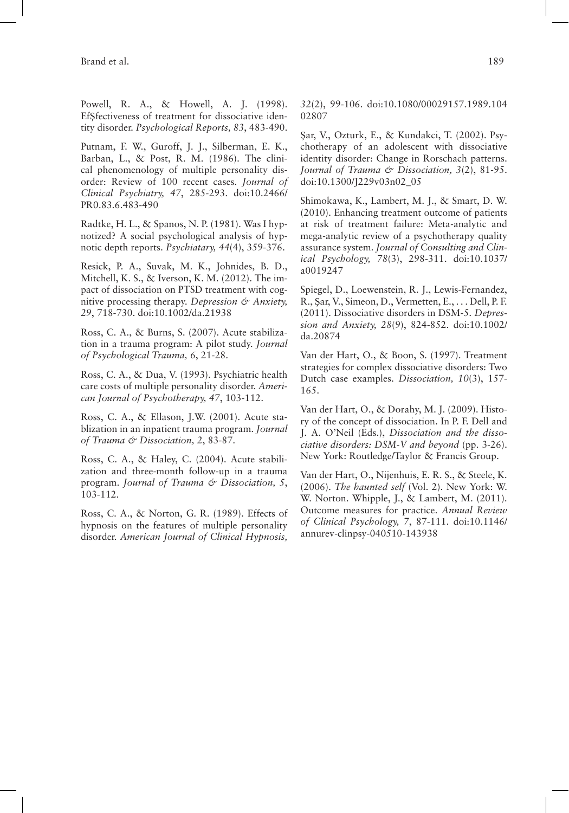Brand et al. 189

Powell, R. A., & Howell, A. J. (1998). EfŞfectiveness of treatment for dissociative identity disorder. *Psychological Reports, 83*, 483-490.

Putnam, F. W., Guroff, J. J., Silberman, E. K., Barban, L., & Post, R. M. (1986). The clinical phenomenology of multiple personality disorder: Review of 100 recent cases. *Journal of Clinical Psychiatry, 47*, 285-293. doi:10.2466/ PR0.83.6.483-490

Radtke, H. L., & Spanos, N. P. (1981). Was I hypnotized? A social psychological analysis of hypnotic depth reports. *Psychiatary, 44*(4), 359-376.

Resick, P. A., Suvak, M. K., Johnides, B. D., Mitchell, K. S., & Iverson, K. M. (2012). The impact of dissociation on PTSD treatment with cognitive processing therapy. *Depression & Anxiety, 29*, 718-730. doi:10.1002/da.21938

Ross, C. A., & Burns, S. (2007). Acute stabilization in a trauma program: A pilot study. *Journal of Psychological Trauma, 6*, 21-28.

Ross, C. A., & Dua, V. (1993). Psychiatric health care costs of multiple personality disorder. *American Journal of Psychotherapy, 47*, 103-112.

Ross, C. A., & Ellason, J.W. (2001). Acute stablization in an inpatient trauma program. *Journal of Trauma & Dissociation, 2*, 83-87.

Ross, C. A., & Haley, C. (2004). Acute stabilization and three-month follow-up in a trauma program. *Journal of Trauma & Dissociation, 5*, 103-112.

Ross, C. A., & Norton, G. R. (1989). Effects of hypnosis on the features of multiple personality disorder. *American Journal of Clinical Hypnosis,*  *32*(2), 99-106. doi:10.1080/00029157.1989.104 02807

Şar, V., Ozturk, E., & Kundakci, T. (2002). Psychotherapy of an adolescent with dissociative identity disorder: Change in Rorschach patterns. *Journal of Trauma & Dissociation, 3*(2), 81-95. doi:10.1300/J229v03n02\_05

Shimokawa, K., Lambert, M. J., & Smart, D. W. (2010). Enhancing treatment outcome of patients at risk of treatment failure: Meta-analytic and mega-analytic review of a psychotherapy quality assurance system. *Journal of Consulting and Clinical Psychology, 78*(3), 298-311. doi:10.1037/ a0019247

Spiegel, D., Loewenstein, R. J., Lewis-Fernandez, R., Şar, V., Simeon, D., Vermetten, E., . . . Dell, P. F. (2011). Dissociative disorders in DSM-5. *Depression and Anxiety, 28*(9), 824-852. doi:10.1002/ da.20874

Van der Hart, O., & Boon, S. (1997). Treatment strategies for complex dissociative disorders: Two Dutch case examples. *Dissociation, 10*(3), 157- 165.

Van der Hart, O., & Dorahy, M. J. (2009). History of the concept of dissociation. In P. F. Dell and J. A. O'Neil (Eds.), *Dissociation and the dissociative disorders: DSM-V and beyond* (pp. 3-26). New York: Routledge/Taylor & Francis Group.

Van der Hart, O., Nijenhuis, E. R. S., & Steele, K. (2006). *The haunted self* (Vol. 2). New York: W. W. Norton. Whipple, J., & Lambert, M. (2011). Outcome measures for practice. *Annual Review of Clinical Psychology, 7*, 87-111. doi:10.1146/ annurev-clinpsy-040510-143938